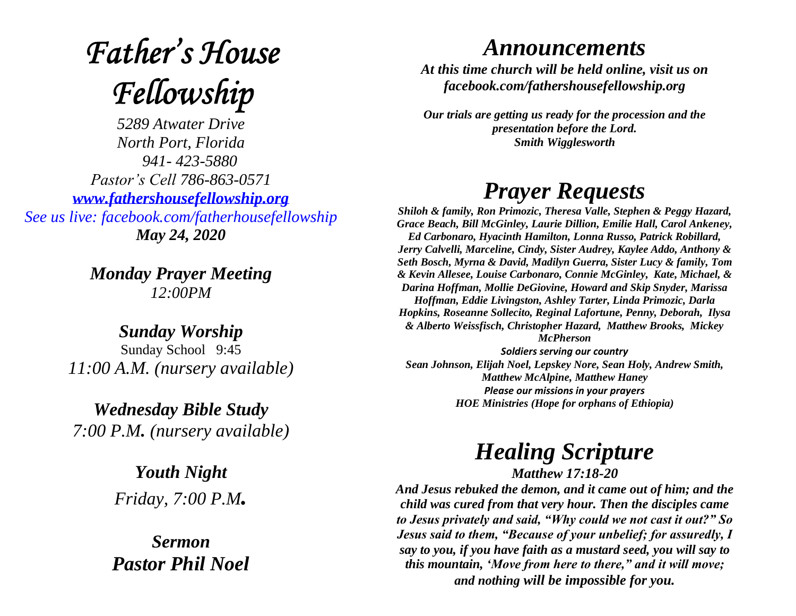# **Father's House** Fellowship

*5289 Atwater Drive North Port, Florida 941- 423-5880 Pastor's Cell 786-863-0571 [www.fathershousefellowship.org](http://www.fathershousefellowship.org/) See us live: facebook.com/fatherhousefellowship May 24, 2020*

> *Monday Prayer Meeting 12:00PM*

*Sunday Worship* Sunday School 9:45 *11:00 A.M. (nursery available)*

*Wednesday Bible Study 7:00 P.M. (nursery available)*

> *Youth Night Friday, 7:00 P.M.*

*Sermon Pastor Phil Noel*

#### *Announcements*

*At this time church will be held online, visit us on facebook.com/fathershousefellowship.org*

*Our trials are getting us ready for the procession and the presentation before the Lord. Smith Wigglesworth*

### *Prayer Requests*

*Shiloh & family, Ron Primozic, Theresa Valle, Stephen & Peggy Hazard, Grace Beach, Bill McGinley, Laurie Dillion, Emilie Hall, Carol Ankeney, Ed Carbonaro, Hyacinth Hamilton, Lonna Russo, Patrick Robillard, Jerry Calvelli, Marceline, Cindy, Sister Audrey, Kaylee Addo, Anthony & Seth Bosch, Myrna & David, Madilyn Guerra, Sister Lucy & family, Tom & Kevin Allesee, Louise Carbonaro, Connie McGinley, Kate, Michael, & Darina Hoffman, Mollie DeGiovine, Howard and Skip Snyder, Marissa Hoffman, Eddie Livingston, Ashley Tarter, Linda Primozic, Darla Hopkins, Roseanne Sollecito, Reginal Lafortune, Penny, Deborah, Ilysa & Alberto Weissfisch, Christopher Hazard, Matthew Brooks, Mickey McPherson Soldiers serving our country*

*Sean Johnson, Elijah Noel, Lepskey Nore, Sean Holy, Andrew Smith, Matthew McAlpine, Matthew Haney Please our missions in your prayers HOE Ministries (Hope for orphans of Ethiopia)*

## *Healing Scripture*

*Matthew 17:18-20*

*And Jesus rebuked the demon, and it came out of him; and the child was cured from that very hour. Then the disciples came to Jesus privately and said, "Why could we not cast it out?" So Jesus said to them, "Because of your unbelief; for assuredly, I say to you, if you have faith as a mustard seed, you will say to this mountain, 'Move from here to there," and it will move; and nothing will be impossible for you.*